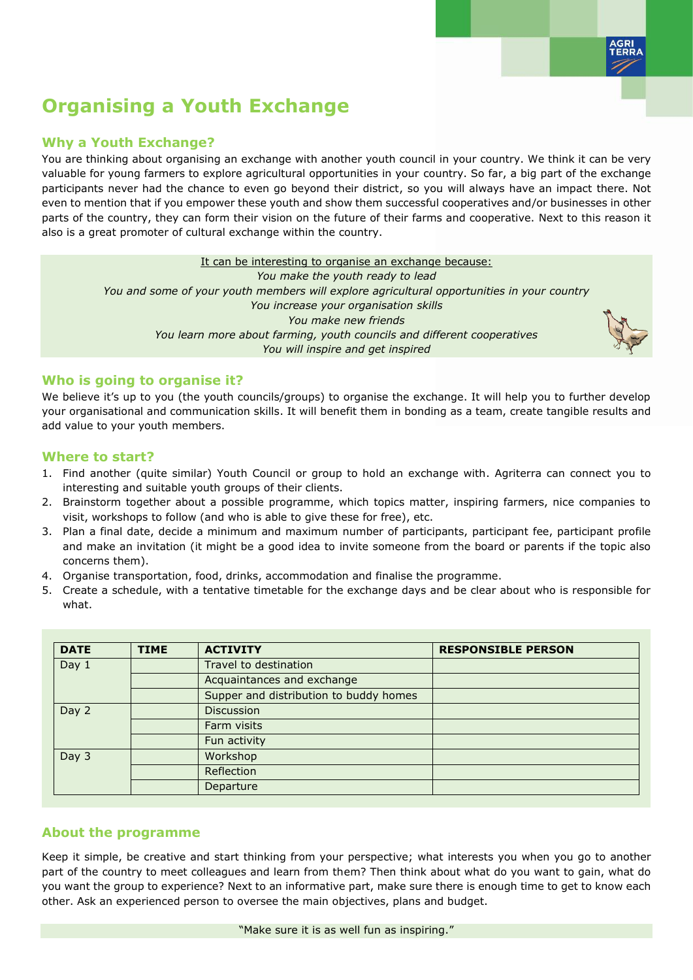

# **Organising a Youth Exchange**

## **Why a Youth Exchange?**

You are thinking about organising an exchange with another youth council in your country. We think it can be very valuable for young farmers to explore agricultural opportunities in your country. So far, a big part of the exchange participants never had the chance to even go beyond their district, so you will always have an impact there. Not even to mention that if you empower these youth and show them successful cooperatives and/or businesses in other parts of the country, they can form their vision on the future of their farms and cooperative. Next to this reason it also is a great promoter of cultural exchange within the country.

It can be interesting to organise an exchange because:

*You make the youth ready to lead You and some of your youth members will explore agricultural opportunities in your country You increase your organisation skills You make new friends You learn more about farming, youth councils and different cooperatives You will inspire and get inspired*



#### **Who is going to organise it?**

We believe it's up to you (the youth councils/groups) to organise the exchange. It will help you to further develop your organisational and communication skills. It will benefit them in bonding as a team, create tangible results and add value to your youth members.

### **Where to start?**

- 1. Find another (quite similar) Youth Council or group to hold an exchange with. Agriterra can connect you to interesting and suitable youth groups of their clients.
- 2. Brainstorm together about a possible programme, which topics matter, inspiring farmers, nice companies to visit, workshops to follow (and who is able to give these for free), etc.
- 3. Plan a final date, decide a minimum and maximum number of participants, participant fee, participant profile and make an invitation (it might be a good idea to invite someone from the board or parents if the topic also concerns them).
- 4. Organise transportation, food, drinks, accommodation and finalise the programme.
- 5. Create a schedule, with a tentative timetable for the exchange days and be clear about who is responsible for what.

| <b>DATE</b> | <b>TIME</b> | <b>ACTIVITY</b>                        | <b>RESPONSIBLE PERSON</b> |
|-------------|-------------|----------------------------------------|---------------------------|
| Day $1$     |             | Travel to destination                  |                           |
|             |             | Acquaintances and exchange             |                           |
|             |             | Supper and distribution to buddy homes |                           |
| Day 2       |             | <b>Discussion</b>                      |                           |
|             |             | Farm visits                            |                           |
|             |             | Fun activity                           |                           |
| Day 3       |             | Workshop                               |                           |
|             |             | Reflection                             |                           |
|             |             | Departure                              |                           |

# **About the programme**

Keep it simple, be creative and start thinking from your perspective; what interests you when you go to another part of the country to meet colleagues and learn from them? Then think about what do you want to gain, what do you want the group to experience? Next to an informative part, make sure there is enough time to get to know each other. Ask an experienced person to oversee the main objectives, plans and budget.